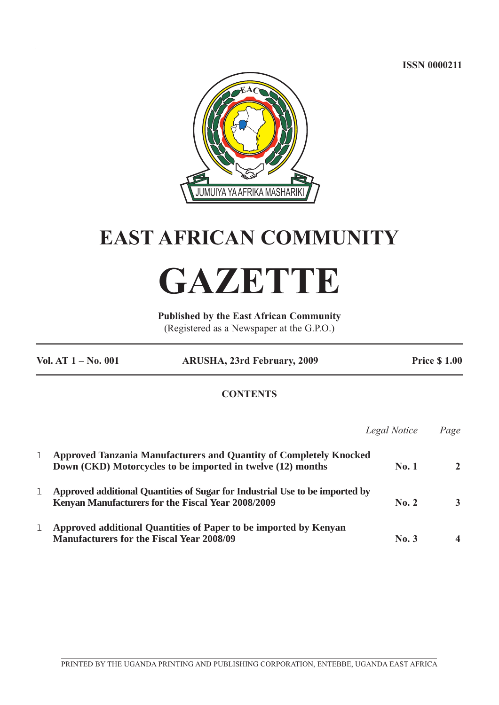**ISSN 0000211**



# **EAST AFRICAN COMMUNITY**

# **GAZETTE**

**Published by the East African Community** (Registered as a Newspaper at the G.P.O.)

|   | Vol. AT $1 - No. 001$<br><b>ARUSHA, 23rd February, 2009</b>                                                                              |              | <b>Price \$1.00</b> |  |
|---|------------------------------------------------------------------------------------------------------------------------------------------|--------------|---------------------|--|
|   | <b>CONTENTS</b>                                                                                                                          |              |                     |  |
|   |                                                                                                                                          | Legal Notice | Page                |  |
| 1 | <b>Approved Tanzania Manufacturers and Quantity of Completely Knocked</b><br>Down (CKD) Motorcycles to be imported in twelve (12) months | No.1         | $\mathbf{2}$        |  |
| 1 | Approved additional Quantities of Sugar for Industrial Use to be imported by<br>Kenyan Manufacturers for the Fiscal Year 2008/2009       | No. 2        | 3                   |  |
| 1 | Approved additional Quantities of Paper to be imported by Kenyan<br><b>Manufacturers for the Fiscal Year 2008/09</b>                     | No.3         | 4                   |  |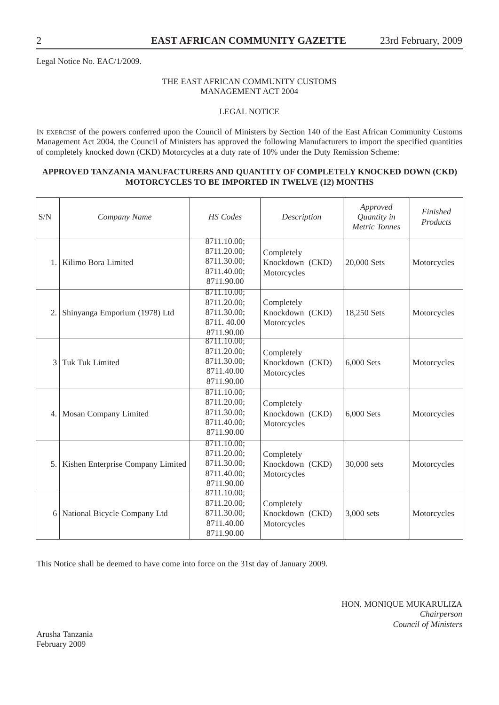Legal Notice No. EAC/1/2009.

# THE EAST AFRICAN COMMUNITY CUSTOMS MANAGEMENT ACT 2004

# LEGAL NOTICE

IN EXERCISE of the powers conferred upon the Council of Ministers by Section 140 of the East African Community Customs Management Act 2004, the Council of Ministers has approved the following Manufacturers to import the specified quantities of completely knocked down (CKD) Motorcycles at a duty rate of 10% under the Duty Remission Scheme:

#### **APPROVED TANZANIA MANUFACTURERS AND QUANTITY OF COMPLETELY KNOCKED DOWN (CKD) MOTORCYCLES TO BE IMPORTED IN TWELVE (12) MONTHS**

| S/N            | Company Name                      | <b>HS</b> Codes                                                        | Description                                  | Approved<br>Quantity in<br><b>Metric Tonnes</b> | Finished<br>Products |
|----------------|-----------------------------------|------------------------------------------------------------------------|----------------------------------------------|-------------------------------------------------|----------------------|
| $\mathbf{1}$ . | Kilimo Bora Limited               | 8711.10.00;<br>8711.20.00;<br>8711.30.00;<br>8711.40.00;<br>8711.90.00 | Completely<br>Knockdown (CKD)<br>Motorcycles | 20,000 Sets                                     | Motorcycles          |
| 2.             | Shinyanga Emporium (1978) Ltd     | 8711.10.00;<br>8711.20.00;<br>8711.30.00;<br>8711.40.00<br>8711.90.00  | Completely<br>Knockdown (CKD)<br>Motorcycles | 18,250 Sets                                     | Motorcycles          |
| 3              | <b>Tuk Tuk Limited</b>            | 8711.10.00;<br>8711.20.00;<br>8711.30.00;<br>8711.40.00<br>8711.90.00  | Completely<br>Knockdown (CKD)<br>Motorcycles | 6,000 Sets                                      | Motorcycles          |
|                | 4. Mosan Company Limited          | 8711.10.00;<br>8711.20.00;<br>8711.30.00;<br>8711.40.00;<br>8711.90.00 | Completely<br>Knockdown (CKD)<br>Motorcycles | 6,000 Sets                                      | Motorcycles          |
| 5.             | Kishen Enterprise Company Limited | 8711.10.00;<br>8711.20.00;<br>8711.30.00;<br>8711.40.00;<br>8711.90.00 | Completely<br>Knockdown (CKD)<br>Motorcycles | 30,000 sets                                     | Motorcycles          |
|                | 6 National Bicycle Company Ltd    | 8711.10.00;<br>8711.20.00;<br>8711.30.00;<br>8711.40.00<br>8711.90.00  | Completely<br>Knockdown (CKD)<br>Motorcycles | 3,000 sets                                      | Motorcycles          |

This Notice shall be deemed to have come into force on the 31st day of January 2009.

HON. MONIQUE MUKARULIZA *Chairperson Council of Ministers*

Arusha Tanzania February 2009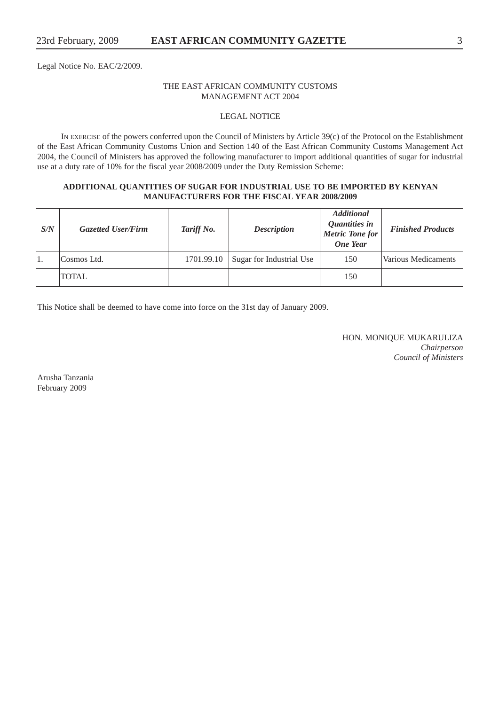Legal Notice No. EAC/2/2009.

# THE EAST AFRICAN COMMUNITY CUSTOMS MANAGEMENT ACT 2004

# LEGAL NOTICE

IN EXERCISE of the powers conferred upon the Council of Ministers by Article 39(c) of the Protocol on the Establishment of the East African Community Customs Union and Section 140 of the East African Community Customs Management Act 2004, the Council of Ministers has approved the following manufacturer to import additional quantities of sugar for industrial use at a duty rate of 10% for the fiscal year 2008/2009 under the Duty Remission Scheme:

# **ADDITIONAL QUANTITIES OF SUGAR FOR INDUSTRIAL USE TO BE IMPORTED BY KENYAN MANUFACTURERS FOR THE FISCAL YEAR 2008/2009**

| S/N | <b>Gazetted User/Firm</b> | Tariff No. | <b>Description</b>       | <b>Additional</b><br>Quantities in<br><b>Metric Tone for</b><br><b>One Year</b> | <b>Finished Products</b> |
|-----|---------------------------|------------|--------------------------|---------------------------------------------------------------------------------|--------------------------|
| 1.  | Cosmos Ltd.               | 1701.99.10 | Sugar for Industrial Use | 150                                                                             | Various Medicaments      |
|     | <b>TOTAL</b>              |            |                          | 150                                                                             |                          |

This Notice shall be deemed to have come into force on the 31st day of January 2009.

HON. MONIQUE MUKARULIZA *Chairperson Council of Ministers*

Arusha Tanzania February 2009